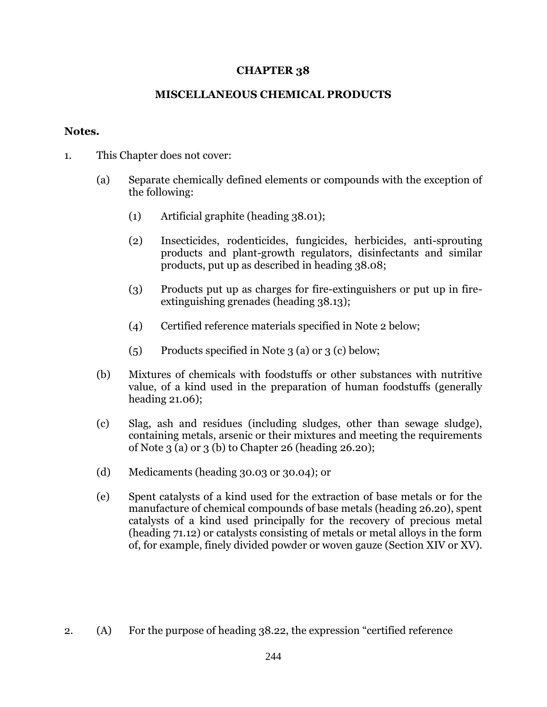## **CHAPTER 38**

## **MISCELLANEOUS CHEMICAL PRODUCTS**

## **Notes.**

- 1. This Chapter does not cover:
	- (a) Separate chemically defined elements or compounds with the exception of the following:
		- (1) Artificial graphite (heading 38.01);
		- (2) Insecticides, rodenticides, fungicides, herbicides, anti-sprouting products and plant-growth regulators, disinfectants and similar products, put up as described in heading 38.08;
		- (3) Products put up as charges for fire-extinguishers or put up in fireextinguishing grenades (heading 38.13);
		- (4) Certified reference materials specified in Note 2 below;
		- (5) Products specified in Note 3 (a) or 3 (c) below;
	- (b) Mixtures of chemicals with foodstuffs or other substances with nutritive value, of a kind used in the preparation of human foodstuffs (generally heading 21.06);
	- (c) Slag, ash and residues (including sludges, other than sewage sludge), containing metals, arsenic or their mixtures and meeting the requirements of Note 3 (a) or 3 (b) to Chapter 26 (heading 26.20);
	- (d) Medicaments (heading 30.03 or 30.04); or
	- (e) Spent catalysts of a kind used for the extraction of base metals or for the manufacture of chemical compounds of base metals (heading 26.20), spent catalysts of a kind used principally for the recovery of precious metal (heading 71.12) or catalysts consisting of metals or metal alloys in the form of, for example, finely divided powder or woven gauze (Section XIV or XV).

2. (A) For the purpose of heading 38.22, the expression "certified reference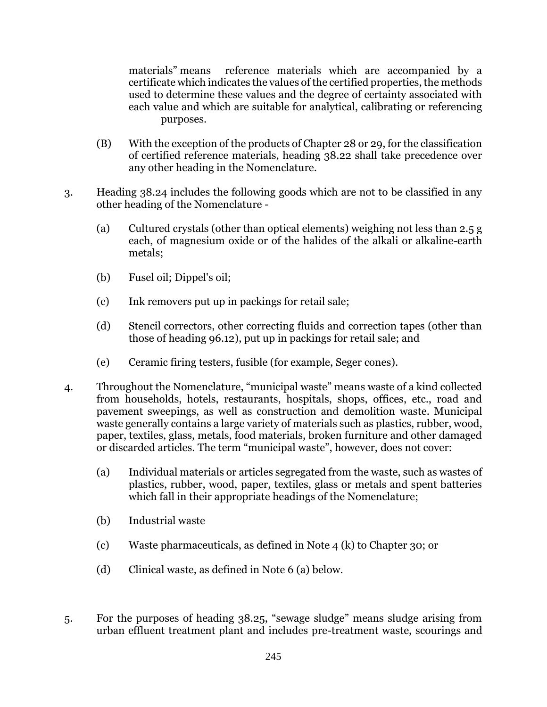materials" means reference materials which are accompanied by a certificate which indicates the values of the certified properties, the methods used to determine these values and the degree of certainty associated with each value and which are suitable for analytical, calibrating or referencing purposes.

- (B) With the exception of the products of Chapter 28 or 29, for the classification of certified reference materials, heading 38.22 shall take precedence over any other heading in the Nomenclature.
- 3. Heading 38.24 includes the following goods which are not to be classified in any other heading of the Nomenclature -
	- (a) Cultured crystals (other than optical elements) weighing not less than 2.5 g each, of magnesium oxide or of the halides of the alkali or alkaline-earth metals;
	- (b) Fusel oil; Dippel's oil;
	- (c) Ink removers put up in packings for retail sale;
	- (d) Stencil correctors, other correcting fluids and correction tapes (other than those of heading 96.12), put up in packings for retail sale; and
	- (e) Ceramic firing testers, fusible (for example, Seger cones).
- 4. Throughout the Nomenclature, "municipal waste" means waste of a kind collected from households, hotels, restaurants, hospitals, shops, offices, etc., road and pavement sweepings, as well as construction and demolition waste. Municipal waste generally contains a large variety of materials such as plastics, rubber, wood, paper, textiles, glass, metals, food materials, broken furniture and other damaged or discarded articles. The term "municipal waste", however, does not cover:
	- (a) Individual materials or articles segregated from the waste, such as wastes of plastics, rubber, wood, paper, textiles, glass or metals and spent batteries which fall in their appropriate headings of the Nomenclature;
	- (b) Industrial waste
	- (c) Waste pharmaceuticals, as defined in Note 4 (k) to Chapter 30; or
	- (d) Clinical waste, as defined in Note 6 (a) below.
- 5. For the purposes of heading 38.25, "sewage sludge" means sludge arising from urban effluent treatment plant and includes pre-treatment waste, scourings and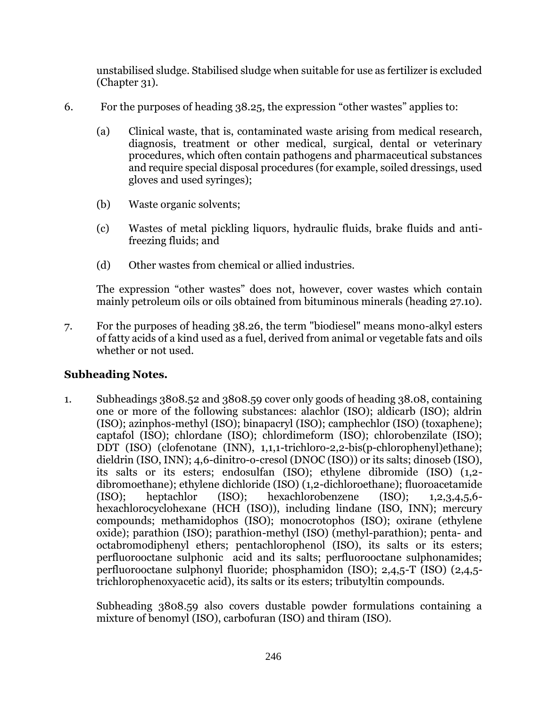unstabilised sludge. Stabilised sludge when suitable for use as fertilizer is excluded (Chapter 31).

- 6. For the purposes of heading 38.25, the expression "other wastes" applies to:
	- (a) Clinical waste, that is, contaminated waste arising from medical research, diagnosis, treatment or other medical, surgical, dental or veterinary procedures, which often contain pathogens and pharmaceutical substances and require special disposal procedures (for example, soiled dressings, used gloves and used syringes);
	- (b) Waste organic solvents;
	- (c) Wastes of metal pickling liquors, hydraulic fluids, brake fluids and antifreezing fluids; and
	- (d) Other wastes from chemical or allied industries.

The expression "other wastes" does not, however, cover wastes which contain mainly petroleum oils or oils obtained from bituminous minerals (heading 27.10).

7. For the purposes of heading 38.26, the term "biodiesel" means mono-alkyl esters of fatty acids of a kind used as a fuel, derived from animal or vegetable fats and oils whether or not used.

## **Subheading Notes.**

1. Subheadings 3808.52 and 3808.59 cover only goods of heading 38.08, containing one or more of the following substances: alachlor (ISO); aldicarb (ISO); aldrin (ISO); azinphos-methyl (ISO); binapacryl (ISO); camphechlor (ISO) (toxaphene); captafol (ISO); chlordane (ISO); chlordimeform (ISO); chlorobenzilate (ISO); DDT (ISO) (clofenotane (INN), 1,1,1-trichloro-2,2-bis(p-chlorophenyl)ethane); dieldrin (ISO, INN); 4,6-dinitro-o-cresol (DNOC (ISO)) or its salts; dinoseb (ISO), its salts or its esters; endosulfan (ISO); ethylene dibromide (ISO) (1,2 dibromoethane); ethylene dichloride (ISO) (1,2-dichloroethane); fluoroacetamide (ISO); heptachlor (ISO); hexachlorobenzene (ISO); 1,2,3,4,5,6 hexachlorocyclohexane (HCH (ISO)), including lindane (ISO, INN); mercury compounds; methamidophos (ISO); monocrotophos (ISO); oxirane (ethylene oxide); parathion (ISO); parathion-methyl (ISO) (methyl-parathion); penta- and octabromodiphenyl ethers; pentachlorophenol (ISO), its salts or its esters; perfluorooctane sulphonic acid and its salts; perfluorooctane sulphonamides; perfluorooctane sulphonyl fluoride; phosphamidon (ISO); 2,4,5-T (ISO) (2,4,5 trichlorophenoxyacetic acid), its salts or its esters; tributyltin compounds.

Subheading 3808.59 also covers dustable powder formulations containing a mixture of benomyl (ISO), carbofuran (ISO) and thiram (ISO).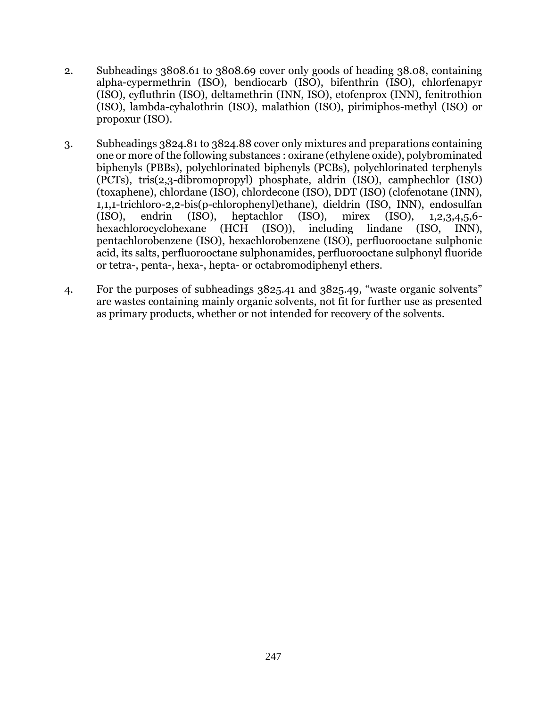- 2. Subheadings 3808.61 to 3808.69 cover only goods of heading 38.08, containing alpha-cypermethrin (ISO), bendiocarb (ISO), bifenthrin (ISO), chlorfenapyr (ISO), cyfluthrin (ISO), deltamethrin (INN, ISO), etofenprox (INN), fenitrothion (ISO), lambda-cyhalothrin (ISO), malathion (ISO), pirimiphos-methyl (ISO) or propoxur (ISO).
- 3. Subheadings 3824.81 to 3824.88 cover only mixtures and preparations containing one or more of the following substances : oxirane (ethylene oxide), polybrominated biphenyls (PBBs), polychlorinated biphenyls (PCBs), polychlorinated terphenyls (PCTs), tris(2,3-dibromopropyl) phosphate, aldrin (ISO), camphechlor (ISO) (toxaphene), chlordane (ISO), chlordecone (ISO), DDT (ISO) (clofenotane (INN), 1,1,1-trichloro-2,2-bis(p-chlorophenyl)ethane), dieldrin (ISO, INN), endosulfan (ISO), endrin (ISO), heptachlor (ISO), mirex (ISO), 1,2,3,4,5,6 hexachlorocyclohexane (HCH (ISO)), including lindane (ISO, INN), pentachlorobenzene (ISO), hexachlorobenzene (ISO), perfluorooctane sulphonic acid, its salts, perfluorooctane sulphonamides, perfluorooctane sulphonyl fluoride or tetra-, penta-, hexa-, hepta- or octabromodiphenyl ethers.
- 4. For the purposes of subheadings 3825.41 and 3825.49, "waste organic solvents" are wastes containing mainly organic solvents, not fit for further use as presented as primary products, whether or not intended for recovery of the solvents.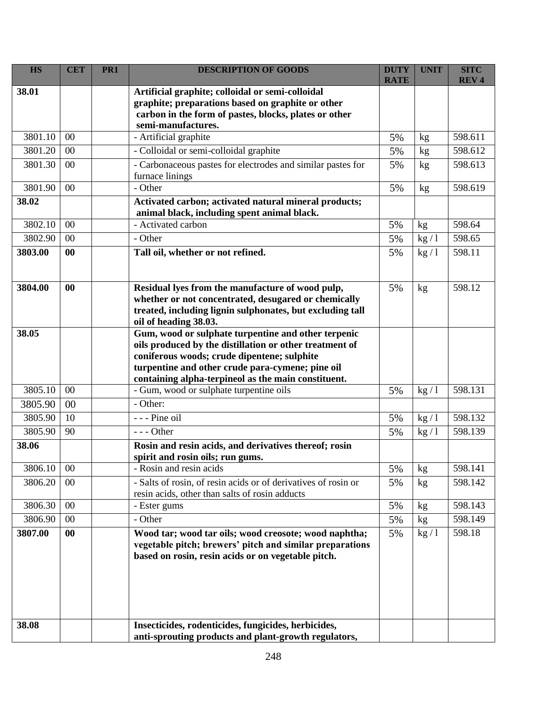| <b>HS</b> | <b>CET</b> | PR1 | <b>DESCRIPTION OF GOODS</b>                                                                                                                                                                                                                                              | <b>DUTY</b><br><b>RATE</b> | <b>UNIT</b> | <b>SITC</b><br><b>REV4</b> |
|-----------|------------|-----|--------------------------------------------------------------------------------------------------------------------------------------------------------------------------------------------------------------------------------------------------------------------------|----------------------------|-------------|----------------------------|
| 38.01     |            |     | Artificial graphite; colloidal or semi-colloidal<br>graphite; preparations based on graphite or other<br>carbon in the form of pastes, blocks, plates or other<br>semi-manufactures.                                                                                     |                            |             |                            |
| 3801.10   | 00         |     | - Artificial graphite                                                                                                                                                                                                                                                    | 5%                         | kg          | 598.611                    |
| 3801.20   | 00         |     | - Colloidal or semi-colloidal graphite                                                                                                                                                                                                                                   | 5%                         | kg          | 598.612                    |
| 3801.30   | 00         |     | - Carbonaceous pastes for electrodes and similar pastes for<br>furnace linings                                                                                                                                                                                           | 5%                         | kg          | 598.613                    |
| 3801.90   | 00         |     | - Other                                                                                                                                                                                                                                                                  | 5%                         | kg          | 598.619                    |
| 38.02     |            |     | Activated carbon; activated natural mineral products;<br>animal black, including spent animal black.                                                                                                                                                                     |                            |             |                            |
| 3802.10   | 00         |     | - Activated carbon                                                                                                                                                                                                                                                       | 5%                         | kg          | 598.64                     |
| 3802.90   | 00         |     | - Other                                                                                                                                                                                                                                                                  | 5%                         | kg/1        | 598.65                     |
| 3803.00   | 00         |     | Tall oil, whether or not refined.                                                                                                                                                                                                                                        | 5%                         | kg/1        | 598.11                     |
| 3804.00   | 00         |     | Residual lyes from the manufacture of wood pulp,<br>whether or not concentrated, desugared or chemically<br>treated, including lignin sulphonates, but excluding tall<br>oil of heading 38.03.                                                                           | 5%                         | kg          | 598.12                     |
| 38.05     |            |     | Gum, wood or sulphate turpentine and other terpenic<br>oils produced by the distillation or other treatment of<br>coniferous woods; crude dipentene; sulphite<br>turpentine and other crude para-cymene; pine oil<br>containing alpha-terpineol as the main constituent. |                            |             |                            |
| 3805.10   | 00         |     | - Gum, wood or sulphate turpentine oils                                                                                                                                                                                                                                  | 5%                         | kg/1        | 598.131                    |
| 3805.90   | 00         |     | - Other:                                                                                                                                                                                                                                                                 |                            |             |                            |
| 3805.90   | 10         |     | - - - Pine oil                                                                                                                                                                                                                                                           | 5%                         | kg/1        | 598.132                    |
| 3805.90   | 90         |     | $--$ Other                                                                                                                                                                                                                                                               | 5%                         | kg/1        | 598.139                    |
| 38.06     |            |     | Rosin and resin acids, and derivatives thereof; rosin<br>spirit and rosin oils; run gums.                                                                                                                                                                                |                            |             |                            |
| 3806.10   | 00         |     | - Rosin and resin acids                                                                                                                                                                                                                                                  | 5%                         | kg          | 598.141                    |
| 3806.20   | 00         |     | - Salts of rosin, of resin acids or of derivatives of rosin or<br>resin acids, other than salts of rosin adducts                                                                                                                                                         | 5%                         | kg          | 598.142                    |
| 3806.30   | 00         |     | - Ester gums                                                                                                                                                                                                                                                             | 5%                         | kg          | 598.143                    |
| 3806.90   | 00         |     | - Other                                                                                                                                                                                                                                                                  | 5%                         | kg          | 598.149                    |
| 3807.00   | $\bf{00}$  |     | Wood tar; wood tar oils; wood creosote; wood naphtha;<br>vegetable pitch; brewers' pitch and similar preparations<br>based on rosin, resin acids or on vegetable pitch.                                                                                                  | 5%                         | kg/1        | 598.18                     |
| 38.08     |            |     | Insecticides, rodenticides, fungicides, herbicides,<br>anti-sprouting products and plant-growth regulators,                                                                                                                                                              |                            |             |                            |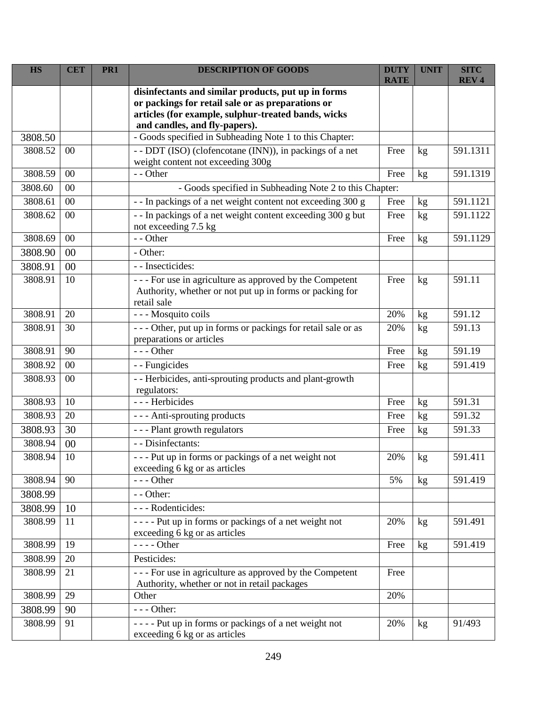| <b>HS</b> | <b>CET</b> | PR1 | <b>DESCRIPTION OF GOODS</b>                                                                                                                                                                      | <b>DUTY</b><br><b>RATE</b> | <b>UNIT</b>     | <b>SITC</b><br><b>REV4</b> |
|-----------|------------|-----|--------------------------------------------------------------------------------------------------------------------------------------------------------------------------------------------------|----------------------------|-----------------|----------------------------|
|           |            |     | disinfectants and similar products, put up in forms<br>or packings for retail sale or as preparations or<br>articles (for example, sulphur-treated bands, wicks<br>and candles, and fly-papers). |                            |                 |                            |
| 3808.50   |            |     | - Goods specified in Subheading Note 1 to this Chapter:                                                                                                                                          |                            |                 |                            |
| 3808.52   | 00         |     | - - DDT (ISO) (clofencotane (INN)), in packings of a net<br>weight content not exceeding 300g                                                                                                    | Free                       | kg              | 591.1311                   |
| 3808.59   | 00         |     | - - Other                                                                                                                                                                                        | Free                       | kg              | 591.1319                   |
| 3808.60   | 00         |     | - Goods specified in Subheading Note 2 to this Chapter:                                                                                                                                          |                            |                 |                            |
| 3808.61   | 00         |     | - - In packings of a net weight content not exceeding 300 g                                                                                                                                      | Free                       | kg              | 591.1121                   |
| 3808.62   | 00         |     | - - In packings of a net weight content exceeding 300 g but<br>not exceeding 7.5 kg                                                                                                              | Free                       | kg              | 591.1122                   |
| 3808.69   | 00         |     | - - Other                                                                                                                                                                                        | Free                       | kg              | 591.1129                   |
| 3808.90   | 00         |     | - Other:                                                                                                                                                                                         |                            |                 |                            |
| 3808.91   | 00         |     | - - Insecticides:                                                                                                                                                                                |                            |                 |                            |
| 3808.91   | 10         |     | - - - For use in agriculture as approved by the Competent<br>Authority, whether or not put up in forms or packing for<br>retail sale                                                             | Free                       | kg              | 591.11                     |
| 3808.91   | 20         |     | - - - Mosquito coils                                                                                                                                                                             | 20%                        | kg              | 591.12                     |
| 3808.91   | 30         |     | --- Other, put up in forms or packings for retail sale or as<br>preparations or articles                                                                                                         | 20%                        | kg              | 591.13                     |
| 3808.91   | 90         |     | --- Other                                                                                                                                                                                        | Free                       | kg              | 591.19                     |
| 3808.92   | 00         |     | - - Fungicides                                                                                                                                                                                   | Free                       | kg              | 591.419                    |
| 3808.93   | 00         |     | - - Herbicides, anti-sprouting products and plant-growth<br>regulators:                                                                                                                          |                            |                 |                            |
| 3808.93   | 10         |     | --- Herbicides                                                                                                                                                                                   | Free                       | kg              | 591.31                     |
| 3808.93   | 20         |     | - - - Anti-sprouting products                                                                                                                                                                    | Free                       | kg              | 591.32                     |
| 3808.93   | 30         |     | --- Plant growth regulators                                                                                                                                                                      | Free                       | kg              | 591.33                     |
| 3808.94   | 00         |     | - - Disinfectants:                                                                                                                                                                               |                            |                 |                            |
| 3808.94   | 10         |     | --- Put up in forms or packings of a net weight not<br>exceeding 6 kg or as articles                                                                                                             | 20%                        | kg              | 591.411                    |
| 3808.94   | 90         |     | $--$ Other                                                                                                                                                                                       | 5%                         | kg              | 591.419                    |
| 3808.99   |            |     | - - Other:                                                                                                                                                                                       |                            |                 |                            |
| 3808.99   | 10         |     | - - - Rodenticides:                                                                                                                                                                              |                            |                 |                            |
| 3808.99   | 11         |     | ---- Put up in forms or packings of a net weight not<br>exceeding 6 kg or as articles                                                                                                            | 20%                        | kg              | 591.491                    |
| 3808.99   | 19         |     | $---Other$                                                                                                                                                                                       | Free                       | kg              | 591.419                    |
| 3808.99   | 20         |     | Pesticides:                                                                                                                                                                                      |                            |                 |                            |
| 3808.99   | 21         |     | - - - For use in agriculture as approved by the Competent<br>Authority, whether or not in retail packages                                                                                        | Free                       |                 |                            |
| 3808.99   | 29         |     | Other                                                                                                                                                                                            | 20%                        |                 |                            |
| 3808.99   | 90         |     | $--$ Other:                                                                                                                                                                                      |                            |                 |                            |
| 3808.99   | 91         |     | ---- Put up in forms or packings of a net weight not<br>exceeding 6 kg or as articles                                                                                                            | 20%                        | kg <sub>2</sub> | 91/493                     |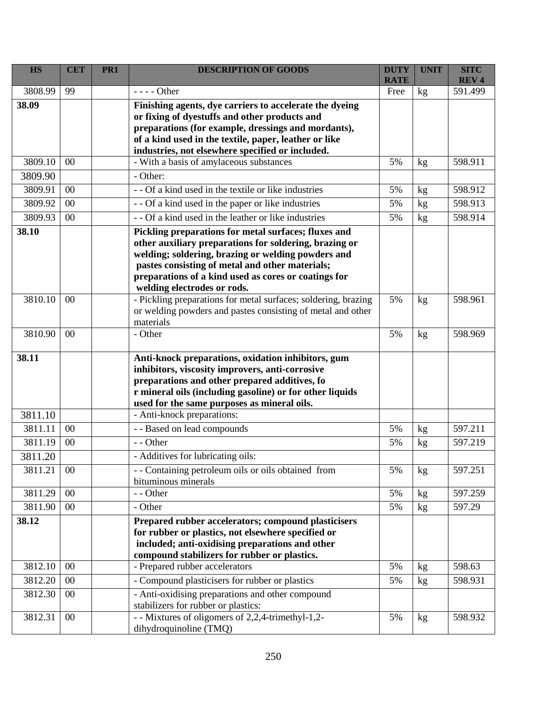| <b>HS</b> | <b>CET</b> | PR1 | <b>DESCRIPTION OF GOODS</b>                                                                               | <b>DUTY</b> | <b>UNIT</b> | <b>SITC</b> |
|-----------|------------|-----|-----------------------------------------------------------------------------------------------------------|-------------|-------------|-------------|
|           | 99         |     |                                                                                                           | <b>RATE</b> |             | <b>REV4</b> |
| 3808.99   |            |     | $--- Other$                                                                                               | Free        | kg          | 591.499     |
| 38.09     |            |     | Finishing agents, dye carriers to accelerate the dyeing                                                   |             |             |             |
|           |            |     | or fixing of dyestuffs and other products and<br>preparations (for example, dressings and mordants),      |             |             |             |
|           |            |     | of a kind used in the textile, paper, leather or like                                                     |             |             |             |
|           |            |     | industries, not elsewhere specified or included.                                                          |             |             |             |
| 3809.10   | 00         |     | - With a basis of amylaceous substances                                                                   | 5%          | kg          | 598.911     |
| 3809.90   |            |     | - Other:                                                                                                  |             |             |             |
| 3809.91   | 00         |     | - - Of a kind used in the textile or like industries                                                      | 5%          | kg          | 598.912     |
| 3809.92   | 00         |     | - - Of a kind used in the paper or like industries                                                        | 5%          | kg          | 598.913     |
| 3809.93   | 00         |     | - - Of a kind used in the leather or like industries                                                      | 5%          | kg          | 598.914     |
| 38.10     |            |     | Pickling preparations for metal surfaces; fluxes and                                                      |             |             |             |
|           |            |     | other auxiliary preparations for soldering, brazing or                                                    |             |             |             |
|           |            |     | welding; soldering, brazing or welding powders and                                                        |             |             |             |
|           |            |     | pastes consisting of metal and other materials;                                                           |             |             |             |
|           |            |     | preparations of a kind used as cores or coatings for                                                      |             |             |             |
| 3810.10   | 00         |     | welding electrodes or rods.<br>- Pickling preparations for metal surfaces; soldering, brazing             | 5%          | kg          | 598.961     |
|           |            |     | or welding powders and pastes consisting of metal and other                                               |             |             |             |
|           |            |     | materials                                                                                                 |             |             |             |
| 3810.90   | 00         |     | - Other                                                                                                   | 5%          | kg          | 598.969     |
|           |            |     |                                                                                                           |             |             |             |
| 38.11     |            |     | Anti-knock preparations, oxidation inhibitors, gum                                                        |             |             |             |
|           |            |     | inhibitors, viscosity improvers, anti-corrosive                                                           |             |             |             |
|           |            |     | preparations and other prepared additives, fo<br>r mineral oils (including gasoline) or for other liquids |             |             |             |
|           |            |     | used for the same purposes as mineral oils.                                                               |             |             |             |
| 3811.10   |            |     | - Anti-knock preparations:                                                                                |             |             |             |
| 3811.11   | $00\,$     |     | - - Based on lead compounds                                                                               | 5%          | kg          | 597.211     |
| 3811.19   | 00         |     | - - Other                                                                                                 | 5%          | kg          | 597.219     |
| 3811.20   |            |     | - Additives for lubricating oils:                                                                         |             |             |             |
| 3811.21   | $00\,$     |     | - - Containing petroleum oils or oils obtained from                                                       | 5%          | kg          | 597.251     |
|           |            |     | bituminous minerals                                                                                       |             |             |             |
| 3811.29   | 00         |     | - - Other                                                                                                 | 5%          | kg          | 597.259     |
| 3811.90   | $00\,$     |     | - Other                                                                                                   | 5%          | kg          | 597.29      |
| 38.12     |            |     | Prepared rubber accelerators; compound plasticisers                                                       |             |             |             |
|           |            |     | for rubber or plastics, not elsewhere specified or                                                        |             |             |             |
|           |            |     | included; anti-oxidising preparations and other                                                           |             |             |             |
| 3812.10   | 00         |     | compound stabilizers for rubber or plastics.<br>- Prepared rubber accelerators                            | 5%          | kg          | 598.63      |
|           |            |     | - Compound plasticisers for rubber or plastics                                                            |             |             |             |
| 3812.20   | $00\,$     |     |                                                                                                           | 5%          | kg          | 598.931     |
| 3812.30   | $00\,$     |     | - Anti-oxidising preparations and other compound<br>stabilizers for rubber or plastics:                   |             |             |             |
| 3812.31   | $00\,$     |     | -- Mixtures of oligomers of 2,2,4-trimethyl-1,2-                                                          | 5%          | kg          | 598.932     |
|           |            |     | dihydroquinoline (TMQ)                                                                                    |             |             |             |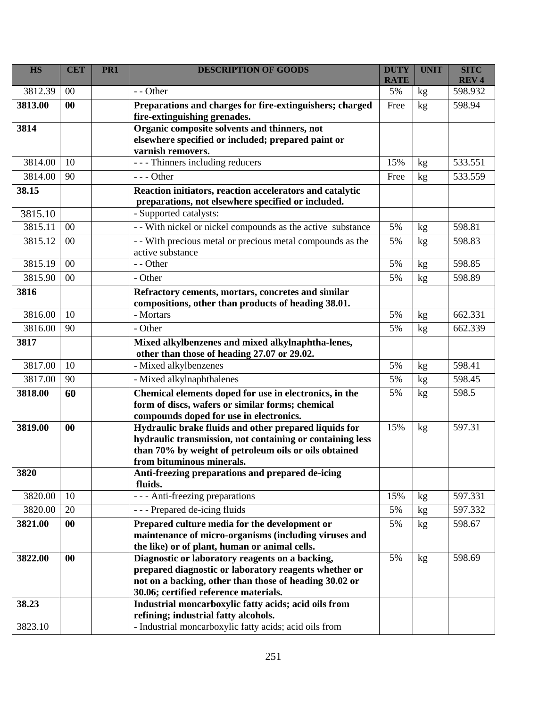| <b>HS</b> | <b>CET</b> | PR <sub>1</sub> | <b>DESCRIPTION OF GOODS</b>                                                                                        | <b>DUTY</b><br><b>RATE</b> | <b>UNIT</b> | <b>SITC</b><br><b>REV4</b> |
|-----------|------------|-----------------|--------------------------------------------------------------------------------------------------------------------|----------------------------|-------------|----------------------------|
| 3812.39   | 00         |                 | - - Other                                                                                                          | 5%                         | kg          | 598.932                    |
| 3813.00   | 00         |                 | Preparations and charges for fire-extinguishers; charged                                                           | Free                       | kg          | 598.94                     |
|           |            |                 | fire-extinguishing grenades.                                                                                       |                            |             |                            |
| 3814      |            |                 | Organic composite solvents and thinners, not                                                                       |                            |             |                            |
|           |            |                 | elsewhere specified or included; prepared paint or                                                                 |                            |             |                            |
| 3814.00   | 10         |                 | varnish removers.<br>- - - Thinners including reducers                                                             | 15%                        |             | 533.551                    |
|           |            |                 |                                                                                                                    |                            | kg          |                            |
| 3814.00   | 90         |                 | $--$ Other                                                                                                         | Free                       | kg          | 533.559                    |
| 38.15     |            |                 | Reaction initiators, reaction accelerators and catalytic<br>preparations, not elsewhere specified or included.     |                            |             |                            |
| 3815.10   |            |                 | - Supported catalysts:                                                                                             |                            |             |                            |
| 3815.11   | $00\,$     |                 | - With nickel or nickel compounds as the active substance                                                          | 5%                         | kg          | 598.81                     |
| 3815.12   | 00         |                 |                                                                                                                    | 5%                         |             | 598.83                     |
|           |            |                 | - - With precious metal or precious metal compounds as the<br>active substance                                     |                            | kg          |                            |
| 3815.19   | 00         |                 | - - Other                                                                                                          | 5%                         | kg          | 598.85                     |
| 3815.90   | 00         |                 | - Other                                                                                                            | 5%                         | kg          | 598.89                     |
| 3816      |            |                 | Refractory cements, mortars, concretes and similar                                                                 |                            |             |                            |
|           |            |                 | compositions, other than products of heading 38.01.                                                                |                            |             |                            |
| 3816.00   | 10         |                 | - Mortars                                                                                                          | 5%                         | kg          | 662.331                    |
| 3816.00   | 90         |                 | - Other                                                                                                            | 5%                         | kg          | 662.339                    |
| 3817      |            |                 | Mixed alkylbenzenes and mixed alkylnaphtha-lenes,                                                                  |                            |             |                            |
|           |            |                 | other than those of heading 27.07 or 29.02.                                                                        |                            |             |                            |
| 3817.00   | 10         |                 | - Mixed alkylbenzenes                                                                                              | 5%                         | kg          | 598.41                     |
| 3817.00   | 90         |                 | - Mixed alkylnaphthalenes                                                                                          | 5%                         | kg          | 598.45                     |
| 3818.00   | 60         |                 | Chemical elements doped for use in electronics, in the                                                             | 5%                         | kg          | 598.5                      |
|           |            |                 | form of discs, wafers or similar forms; chemical                                                                   |                            |             |                            |
|           |            |                 | compounds doped for use in electronics.                                                                            |                            |             |                            |
| 3819.00   | 00         |                 | Hydraulic brake fluids and other prepared liquids for<br>hydraulic transmission, not containing or containing less | 15%                        | kg          | 597.31                     |
|           |            |                 | than 70% by weight of petroleum oils or oils obtained                                                              |                            |             |                            |
|           |            |                 | from bituminous minerals.                                                                                          |                            |             |                            |
| 3820      |            |                 | Anti-freezing preparations and prepared de-icing                                                                   |                            |             |                            |
|           |            |                 | fluids.                                                                                                            |                            |             |                            |
| 3820.00   | 10         |                 | - - - Anti-freezing preparations                                                                                   | 15%                        | kg          | 597.331                    |
| 3820.00   | 20         |                 | --- Prepared de-icing fluids                                                                                       | 5%                         | kg          | 597.332                    |
| 3821.00   | 00         |                 | Prepared culture media for the development or                                                                      | 5%                         | kg          | 598.67                     |
|           |            |                 | maintenance of micro-organisms (including viruses and                                                              |                            |             |                            |
|           |            |                 | the like) or of plant, human or animal cells.                                                                      |                            |             |                            |
| 3822.00   | 00         |                 | Diagnostic or laboratory reagents on a backing,                                                                    | 5%                         | kg          | 598.69                     |
|           |            |                 | prepared diagnostic or laboratory reagents whether or<br>not on a backing, other than those of heading 30.02 or    |                            |             |                            |
|           |            |                 | 30.06; certified reference materials.                                                                              |                            |             |                            |
| 38.23     |            |                 | Industrial moncarboxylic fatty acids; acid oils from                                                               |                            |             |                            |
|           |            |                 | refining; industrial fatty alcohols.                                                                               |                            |             |                            |
| 3823.10   |            |                 | - Industrial moncarboxylic fatty acids; acid oils from                                                             |                            |             |                            |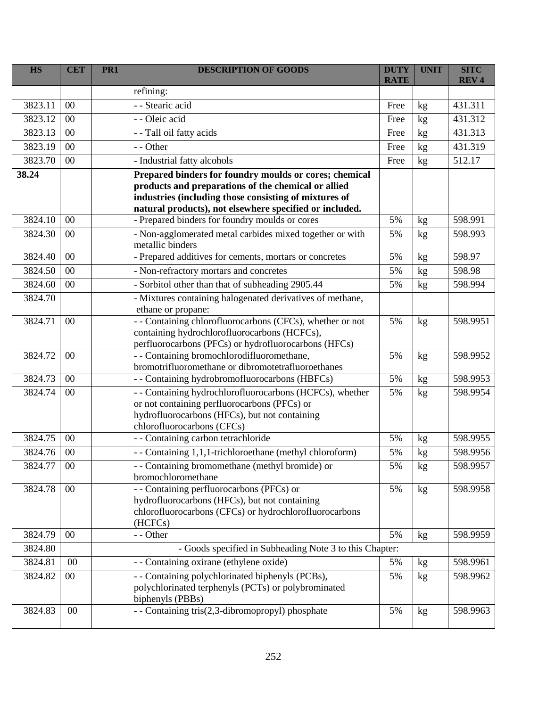| <b>HS</b> | <b>CET</b> | PR <sub>1</sub> | <b>DESCRIPTION OF GOODS</b>                                                                                                                                                                                                       | <b>DUTY</b><br><b>RATE</b> | <b>UNIT</b> | <b>SITC</b><br><b>REV4</b> |
|-----------|------------|-----------------|-----------------------------------------------------------------------------------------------------------------------------------------------------------------------------------------------------------------------------------|----------------------------|-------------|----------------------------|
|           |            |                 | refining:                                                                                                                                                                                                                         |                            |             |                            |
| 3823.11   | 00         |                 | - - Stearic acid                                                                                                                                                                                                                  | Free                       | kg          | 431.311                    |
| 3823.12   | 00         |                 | - - Oleic acid                                                                                                                                                                                                                    | Free                       | kg          | 431.312                    |
| 3823.13   | 00         |                 | - - Tall oil fatty acids                                                                                                                                                                                                          | Free                       | kg          | 431.313                    |
| 3823.19   | 00         |                 | - - Other                                                                                                                                                                                                                         | Free                       | kg          | 431.319                    |
| 3823.70   | 00         |                 | - Industrial fatty alcohols                                                                                                                                                                                                       | Free                       | kg          | 512.17                     |
| 38.24     |            |                 | Prepared binders for foundry moulds or cores; chemical<br>products and preparations of the chemical or allied<br>industries (including those consisting of mixtures of<br>natural products), not elsewhere specified or included. |                            |             |                            |
| 3824.10   | 00         |                 | - Prepared binders for foundry moulds or cores                                                                                                                                                                                    | 5%                         | kg          | 598.991                    |
| 3824.30   | 00         |                 | - Non-agglomerated metal carbides mixed together or with<br>metallic binders                                                                                                                                                      | 5%                         | kg          | 598.993                    |
| 3824.40   | 00         |                 | - Prepared additives for cements, mortars or concretes                                                                                                                                                                            | 5%                         | kg          | 598.97                     |
| 3824.50   | 00         |                 | - Non-refractory mortars and concretes                                                                                                                                                                                            | 5%                         | kg          | 598.98                     |
| 3824.60   | 00         |                 | - Sorbitol other than that of subheading 2905.44                                                                                                                                                                                  | 5%                         | kg          | 598.994                    |
| 3824.70   |            |                 | - Mixtures containing halogenated derivatives of methane,<br>ethane or propane:                                                                                                                                                   |                            |             |                            |
| 3824.71   | 00         |                 | - - Containing chlorofluorocarbons (CFCs), whether or not<br>containing hydrochlorofluorocarbons (HCFCs),<br>perfluorocarbons (PFCs) or hydrofluorocarbons (HFCs)                                                                 | 5%                         | kg          | 598.9951                   |
| 3824.72   | 00         |                 | - - Containing bromochlorodifluoromethane,<br>bromotrifluoromethane or dibromotetrafluoroethanes                                                                                                                                  | 5%                         | kg          | 598.9952                   |
| 3824.73   | 00         |                 | - - Containing hydrobromofluorocarbons (HBFCs)                                                                                                                                                                                    | 5%                         | kg          | 598.9953                   |
| 3824.74   | 00         |                 | - - Containing hydrochlorofluorocarbons (HCFCs), whether<br>or not containing perfluorocarbons (PFCs) or<br>hydrofluorocarbons (HFCs), but not containing<br>chlorofluorocarbons (CFCs)                                           | 5%                         | kg          | 598.9954                   |
| 3824.75   | 00         |                 | - - Containing carbon tetrachloride                                                                                                                                                                                               | 5%                         | kg          | 598.9955                   |
| 3824.76   | $00\,$     |                 | -- Containing 1,1,1-trichloroethane (methyl chloroform)                                                                                                                                                                           | 5%                         | kg          | 598.9956                   |
| 3824.77   | $00\,$     |                 | - - Containing bromomethane (methyl bromide) or<br>bromochloromethane                                                                                                                                                             | 5%                         | kg          | 598.9957                   |
| 3824.78   | $00\,$     |                 | - - Containing perfluorocarbons (PFCs) or<br>hydrofluorocarbons (HFCs), but not containing<br>chlorofluorocarbons (CFCs) or hydrochlorofluorocarbons<br>(HCFCs)                                                                   | 5%                         | kg          | 598.9958                   |
| 3824.79   | $00\,$     |                 | - - Other                                                                                                                                                                                                                         | 5%                         | kg          | 598.9959                   |
| 3824.80   |            |                 | - Goods specified in Subheading Note 3 to this Chapter:                                                                                                                                                                           |                            |             |                            |
| 3824.81   | $00\,$     |                 | - - Containing oxirane (ethylene oxide)                                                                                                                                                                                           | 5%                         | kg          | 598.9961                   |
| 3824.82   | $00\,$     |                 | - - Containing polychlorinated biphenyls (PCBs),<br>polychlorinated terphenyls (PCTs) or polybrominated<br>biphenyls (PBBs)                                                                                                       | 5%                         | kg          | 598.9962                   |
| 3824.83   | 00         |                 | - - Containing tris(2,3-dibromopropyl) phosphate                                                                                                                                                                                  | 5%                         | kg          | 598.9963                   |